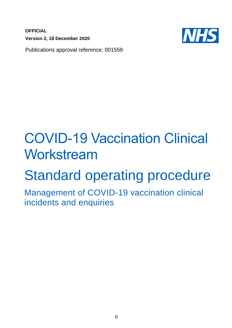**OFFICIAL Version 2, 18 December 2020**



Publications approval reference: 001559

# COVID-19 Vaccination Clinical Workstream

# Standard operating procedure

Management of COVID-19 vaccination clinical incidents and enquiries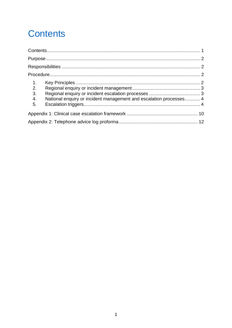# <span id="page-1-0"></span>**Contents**

| $\overline{1}$ .<br>2.<br>3.<br>4.<br>5. | National enquiry or incident management and escalation processes 4 |  |
|------------------------------------------|--------------------------------------------------------------------|--|
|                                          |                                                                    |  |
|                                          |                                                                    |  |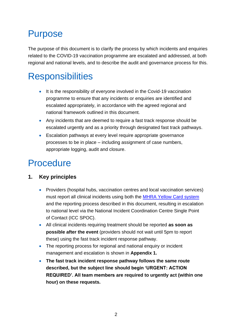### <span id="page-2-0"></span>Purpose

The purpose of this document is to clarify the process by which incidents and enquiries related to the COVID-19 vaccination programme are escalated and addressed, at both regional and national levels, and to describe the audit and governance process for this.

# <span id="page-2-1"></span>**Responsibilities**

- It is the responsibility of everyone involved in the Covid-19 vaccination programme to ensure that any incidents or enquiries are identified and escalated appropriately, in accordance with the agreed regional and national framework outlined in this document.
- Any incidents that are deemed to require a fast track response should be escalated urgently and as a priority through designated fast track pathways.
- Escalation pathways at every level require appropriate governance processes to be in place – including assignment of case numbers, appropriate logging, audit and closure.

## <span id="page-2-2"></span>Procedure

#### <span id="page-2-3"></span>**1. Key principles**

- Providers (hospital hubs, vaccination centres and local vaccination services) must report all clinical incidents using both the [MHRA Yellow Card system](https://coronavirus-yellowcard.mhra.gov.uk/) and the reporting process described in this document, resulting in escalation to national level via the National Incident Coordination Centre Single Point of Contact (ICC SPOC).
- All clinical incidents requiring treatment should be reported **as soon as possible after the event** (providers should not wait until 5pm to report these) using the fast track incident response pathway.
- The reporting process for regional and national enquiry or incident management and escalation is shown in **Appendix 1.**
- **The fast track incident response pathway follows the same route described, but the subject line should begin 'URGENT: ACTION REQUIRED'. All team members are required to urgently act (within one hour) on these requests.**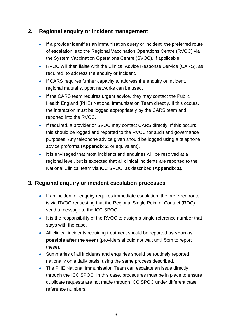#### <span id="page-3-0"></span>**2. Regional enquiry or incident management**

- If a provider identifies an immunisation query or incident, the preferred route of escalation is to the Regional Vaccination Operations Centre (RVOC) via the System Vaccination Operations Centre (SVOC), if applicable.
- RVOC will then liaise with the Clinical Advice Response Service (CARS), as required, to address the enquiry or incident.
- If CARS requires further capacity to address the enquiry or incident, regional mutual support networks can be used.
- If the CARS team requires urgent advice, they may contact the Public Health England (PHE) National Immunisation Team directly. If this occurs, the interaction must be logged appropriately by the CARS team and reported into the RVOC.
- If required, a provider or SVOC may contact CARS directly. If this occurs, this should be logged and reported to the RVOC for audit and governance purposes. Any telephone advice given should be logged using a telephone advice proforma (**Appendix 2**, or equivalent).
- It is envisaged that most incidents and enquiries will be resolved at a regional level, but is expected that all clinical incidents are reported to the National Clinical team via ICC SPOC, as described (**Appendix 1**)**.**

#### <span id="page-3-1"></span>**3. Regional enquiry or incident escalation processes**

- If an incident or enquiry requires immediate escalation, the preferred route is via RVOC requesting that the Regional Single Point of Contact (ROC) send a message to the ICC SPOC.
- It is the responsibility of the RVOC to assign a single reference number that stays with the case.
- All clinical incidents requiring treatment should be reported **as soon as possible after the event** (providers should not wait until 5pm to report these).
- Summaries of all incidents and enquiries should be routinely reported nationally on a daily basis, using the same process described.
- The PHE National Immunisation Team can escalate an issue directly through the ICC SPOC. In this case, procedures must be in place to ensure duplicate requests are not made through ICC SPOC under different case reference numbers.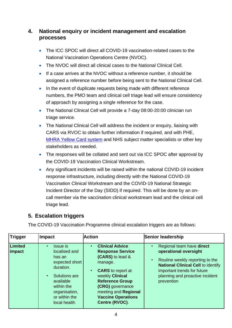#### <span id="page-4-0"></span>**4. National enquiry or incident management and escalation processes**

- The ICC SPOC will direct all COVID-19 vaccination-related cases to the National Vaccination Operations Centre (NVOC).
- The NVOC will direct all clinical cases to the National Clinical Cell.
- If a case arrives at the NVOC without a reference number, it should be assigned a reference number before being sent to the National Clinical Cell.
- In the event of duplicate requests being made with different reference numbers, the PMO team and clinical cell triage lead will ensure consistency of approach by assigning a single reference for the case.
- The National Clinical Cell will provide a 7-day 08:00-20:00 clinician run triage service.
- The National Clinical Cell will address the incident or enquiry, liaising with CARS via RVOC to obtain further information if required, and with PHE, [MHRA Yellow Card system](https://coronavirus-yellowcard.mhra.gov.uk/) and NHS subject matter specialists or other key stakeholders as needed.
- The responses will be collated and sent out via ICC SPOC after approval by the COVID-19 Vaccination Clinical Workstream.
- Any significant incidents will be raised within the national COVID-19 incident response infrastructure, including directly with the National COVID-19 Vaccination Clinical Workstream and the COVID-19 National Strategic Incident Director of the Day (SIDD) if required. This will be done by an oncall member via the vaccination clinical workstream lead and the clinical cell triage lead.

#### <span id="page-4-1"></span>**5. Escalation triggers**

The COVID-19 Vaccination Programme clinical escalation triggers are as follows:

| Trigger           | <b>Impact</b>                                                                                                                                                                                     | <b>Action</b>                                                                                                                                                                                                                                                     | Senior leadership                                                                                                                                                                                                  |
|-------------------|---------------------------------------------------------------------------------------------------------------------------------------------------------------------------------------------------|-------------------------------------------------------------------------------------------------------------------------------------------------------------------------------------------------------------------------------------------------------------------|--------------------------------------------------------------------------------------------------------------------------------------------------------------------------------------------------------------------|
| Limited<br>impact | <b>Issue</b> is<br>$\bullet$<br>localised and<br>has an<br>expected short<br>duration.<br>Solutions are<br>$\bullet$<br>available<br>within the<br>organisation,<br>or within the<br>local health | <b>Clinical Advice</b><br>$\bullet$<br><b>Response Service</b><br>(CARS) to lead &<br>manage.<br><b>CARS</b> to report at<br>weekly Clinical<br><b>Reference Group</b><br>(CRG) governance<br>meeting and Regional<br><b>Vaccine Operations</b><br>Centre (RVOC). | Regional team have direct<br>operational oversight<br>Routine weekly reporting to the<br><b>National Clinical Cell to identify</b><br>important trends for future<br>planning and proactive incident<br>prevention |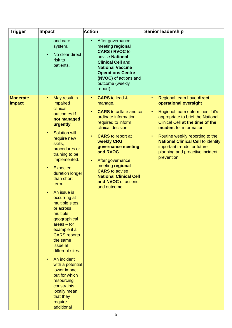| <b>Trigger</b>            | <b>Impact</b>                                                                                                                                                                                                                                                                                                                                                                                                                                                                                                                                                                                                                                                    | <b>Action</b>                                                                                                                                                                                                                                                                                                                                                                                                    | Senior leadership                                                                                                                                                                                                                                                                                                                                                                                         |
|---------------------------|------------------------------------------------------------------------------------------------------------------------------------------------------------------------------------------------------------------------------------------------------------------------------------------------------------------------------------------------------------------------------------------------------------------------------------------------------------------------------------------------------------------------------------------------------------------------------------------------------------------------------------------------------------------|------------------------------------------------------------------------------------------------------------------------------------------------------------------------------------------------------------------------------------------------------------------------------------------------------------------------------------------------------------------------------------------------------------------|-----------------------------------------------------------------------------------------------------------------------------------------------------------------------------------------------------------------------------------------------------------------------------------------------------------------------------------------------------------------------------------------------------------|
|                           | and care<br>system.<br>No clear direct<br>$\bullet$<br>risk to<br>patients.                                                                                                                                                                                                                                                                                                                                                                                                                                                                                                                                                                                      | After governance<br>$\bullet$<br>meeting regional<br><b>CARS / RVOC to</b><br>advise National<br><b>Clinical Cell and</b><br><b>National Vaccine</b><br><b>Operations Centre</b><br>(NVOC) of actions and<br>outcome (weekly<br>report).                                                                                                                                                                         |                                                                                                                                                                                                                                                                                                                                                                                                           |
| <b>Moderate</b><br>impact | May result in<br>$\bullet$<br>impaired<br>clinical<br>outcomes if<br>not managed<br>urgently<br><b>Solution will</b><br>$\bullet$<br>require new<br>skills,<br>procedures or<br>training to be<br>implemented.<br><b>Expected</b><br>٠<br>duration longer<br>than short-<br>term.<br>An issue is<br>$\bullet$<br>occurring at<br>multiple sites,<br>or across<br>multiple<br>geographical<br>$area - for$<br>example if a<br><b>CARS</b> reports<br>the same<br>issue at<br>different sites.<br>An incident<br>$\bullet$<br>with a potential<br>lower impact<br>but for which<br>resourcing<br>constraints<br>locally mean<br>that they<br>require<br>additional | <b>CARS</b> to lead &<br>$\bullet$<br>manage.<br><b>CARS</b> to collate and co-<br>$\bullet$<br>ordinate information<br>required to inform<br>clinical decision.<br><b>CARS</b> to report at<br>$\bullet$<br>weekly CRG<br>governance meeting<br>and RVOC.<br>After governance<br>$\bullet$<br>meeting regional<br><b>CARS</b> to advise<br><b>National Clinical Cell</b><br>and NVOC of actions<br>and outcome. | Regional team have direct<br>$\bullet$<br>operational oversight<br>Regional team determines if it's<br>$\bullet$<br>appropriate to brief the National<br><b>Clinical Cell at the time of the</b><br>incident for information<br>Routine weekly reporting to the<br>$\bullet$<br><b>National Clinical Cell to identify</b><br>important trends for future<br>planning and proactive incident<br>prevention |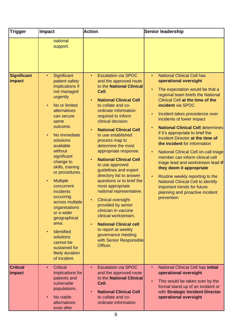| <b>Trigger</b>               | <b>Impact</b>                                                                                                                                                                                                                                                                                                                                                                                                                                                                                                                                                                   | <b>Action</b>                                                                                                                                                                                                                                                                                                                                                                                                                                                                                                                                                                                                                                                                                                                                                                        | Senior leadership                                                                                                                                                                                                                                                                                                                                                                                                                                                                                                                                                                                                                                                                                                                                      |
|------------------------------|---------------------------------------------------------------------------------------------------------------------------------------------------------------------------------------------------------------------------------------------------------------------------------------------------------------------------------------------------------------------------------------------------------------------------------------------------------------------------------------------------------------------------------------------------------------------------------|--------------------------------------------------------------------------------------------------------------------------------------------------------------------------------------------------------------------------------------------------------------------------------------------------------------------------------------------------------------------------------------------------------------------------------------------------------------------------------------------------------------------------------------------------------------------------------------------------------------------------------------------------------------------------------------------------------------------------------------------------------------------------------------|--------------------------------------------------------------------------------------------------------------------------------------------------------------------------------------------------------------------------------------------------------------------------------------------------------------------------------------------------------------------------------------------------------------------------------------------------------------------------------------------------------------------------------------------------------------------------------------------------------------------------------------------------------------------------------------------------------------------------------------------------------|
|                              | national<br>support.                                                                                                                                                                                                                                                                                                                                                                                                                                                                                                                                                            |                                                                                                                                                                                                                                                                                                                                                                                                                                                                                                                                                                                                                                                                                                                                                                                      |                                                                                                                                                                                                                                                                                                                                                                                                                                                                                                                                                                                                                                                                                                                                                        |
| <b>Significant</b><br>impact | Significant<br>$\bullet$<br>patient safety<br>implications if<br>not managed<br>urgently<br>No or limited<br>$\bullet$<br>alternatives<br>can secure<br>same<br>outcome.<br>No immediate<br>$\bullet$<br>solutions<br>available<br>without<br>significant<br>change to<br>skills, training<br>or procedures.<br><b>Multiple</b><br>$\bullet$<br>concurrent<br>incidents<br>occurring<br>across multiple<br>organisations<br>or a wider<br>geographical<br>area.<br><b>Identified</b><br>$\bullet$<br>solutions<br>cannot be<br>sustained for<br>likely duration<br>of incident. | <b>Escalation via SPOC</b><br>$\bullet$<br>and the approved route<br>to the National Clinical<br>Cell.<br><b>National Clinical Cell</b><br>$\bullet$<br>to collate and co-<br>ordinate information<br>required to inform<br>clinical decision.<br><b>National Clinical Cell</b><br>to use established<br>process map to<br>determine the most<br>appropriate response.<br><b>National Clinical Cell</b><br>to use approved<br>guidelines and expert<br>directory list to answer<br>questions or to brief the<br>most appropriate<br>national representative.<br><b>Clinical oversight</b><br>provided by senior<br>clinician in vaccine<br>clinical workstream.<br><b>National Clinical cell</b><br>to report at weekly<br>governance meeting<br>with Senior Responsible<br>Officer. | <b>National Clinical Cell has</b><br>$\bullet$<br>operational oversight<br>The expectation would be that a<br>$\bullet$<br>regional team briefs the National<br>Clinical Cell at the time of the<br>incident via SPOC<br>Incident takes precedence over<br>incidents of lower impact<br><b>National Clinical Cell determines</b><br>if it's appropriate to brief the<br>Incident Director at the time of<br>the incident for information<br>National Clinical Cell on-call triage<br>member can inform clinical cell<br>triage lead and workstream lead if<br>they deem it appropriate<br>Routine weekly reporting to the<br><b>National Clinical Cell to identify</b><br>important trends for future<br>planning and proactive incident<br>prevention |
| <b>Critical</b><br>impact    | <b>Critical</b><br>$\bullet$<br>implications for<br>patients and<br>vulnerable<br>populations.<br>No viable<br>$\bullet$<br>alternatives<br>exist after                                                                                                                                                                                                                                                                                                                                                                                                                         | <b>Escalation via SPOC</b><br>and the approved route<br>to the National Clinical<br>Cell.<br><b>National Clinical Cell</b><br>to collate and co-<br>ordinate information                                                                                                                                                                                                                                                                                                                                                                                                                                                                                                                                                                                                             | <b>National Clinical Cell has initial</b><br>$\bullet$<br>operational oversight<br>This would be taken over by the<br>$\bullet$<br>formal stand up of an incident or<br>with Strategic Incident Director<br>operational oversight                                                                                                                                                                                                                                                                                                                                                                                                                                                                                                                      |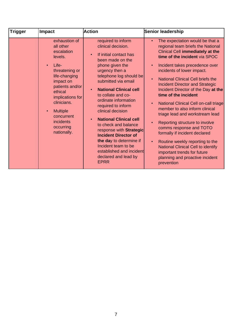| <b>Trigger</b> | <b>Impact</b>                                                                                                                                                                                                                                                                     | <b>Action</b>                                                                                                                                                                                                                                                                                                                                                                                                                                                                                                                                                                          | Senior leadership                                                                                                                                                                                                                                                                                                                                                                                                                                                                                                                                                                                                                                                                                                                                                                                                               |
|----------------|-----------------------------------------------------------------------------------------------------------------------------------------------------------------------------------------------------------------------------------------------------------------------------------|----------------------------------------------------------------------------------------------------------------------------------------------------------------------------------------------------------------------------------------------------------------------------------------------------------------------------------------------------------------------------------------------------------------------------------------------------------------------------------------------------------------------------------------------------------------------------------------|---------------------------------------------------------------------------------------------------------------------------------------------------------------------------------------------------------------------------------------------------------------------------------------------------------------------------------------------------------------------------------------------------------------------------------------------------------------------------------------------------------------------------------------------------------------------------------------------------------------------------------------------------------------------------------------------------------------------------------------------------------------------------------------------------------------------------------|
|                | exhaustion of<br>all other<br>escalation<br>levels.<br>Life-<br>$\bullet$<br>threatening or<br>life-changing<br>impact on<br>patients and/or<br>ethical<br>implications for<br>clinicians.<br><b>Multiple</b><br>$\bullet$<br>concurrent<br>incidents<br>occurring<br>nationally. | required to inform<br>clinical decision.<br>If initial contact has<br>$\bullet$<br>been made on the<br>phone given the<br>urgency then a<br>telephone log should be<br>submitted via email<br><b>National Clinical cell</b><br>$\bullet$<br>to collate and co-<br>ordinate information<br>required to inform<br>clinical decision<br><b>National Clinical cell</b><br>$\bullet$<br>to check and balance<br>response with Strategic<br><b>Incident Director of</b><br>the day to determine if<br>Incident team to be<br>established and incident<br>declared and lead by<br><b>EPRR</b> | The expectation would be that a<br>$\bullet$<br>regional team briefs the National<br><b>Clinical Cell immediately at the</b><br>time of the incident via SPOC<br>Incident takes precedence over<br>$\bullet$<br>incidents of lower impact.<br><b>National Clinical Cell briefs the</b><br>$\bullet$<br><b>Incident Director and Strategic</b><br>Incident Director of the Day at the<br>time of the incident<br>National Clinical Cell on-call triage<br>$\bullet$<br>member to also inform clinical<br>triage lead and workstream lead<br>Reporting structure to involve<br>$\bullet$<br>comms response and TOTO<br>formally if incident declared<br>Routine weekly reporting to the<br>$\bullet$<br><b>National Clinical Cell to identify</b><br>important trends for future<br>planning and proactive incident<br>prevention |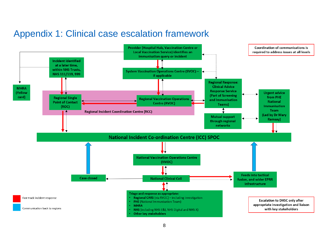### Appendix 1: Clinical case escalation framework

<span id="page-8-0"></span>